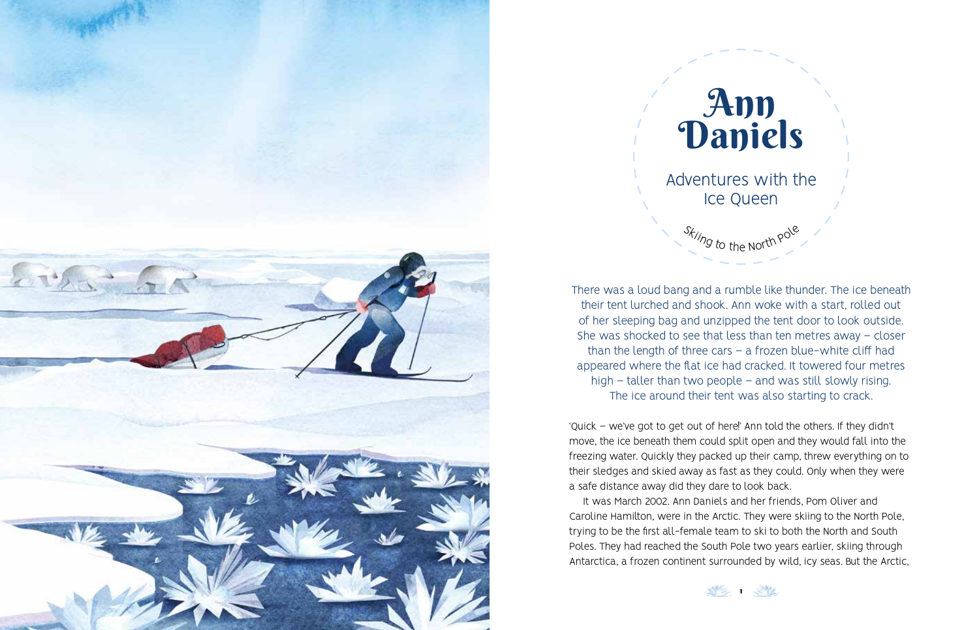



There was a loud bang and a rumble like thunder. The ice beneath their tent lurched and shook. Ann woke with a start, rolled out of her sleeping bag and unzipped the tent door to look outside. She was shocked to see that less than ten metres away – closer than the length of three cars  $-$  a frozen blue-white cliff had appeared where the flat ice had cracked. It towered four metres high – taller than two people – and was still slowly rising. The ice around their tent was also starting to crack.

'Quick – we've got to get out of here!' Ann told the others. If they didn't move, the ice beneath them could split open and they would fall into the freezing water. Quickly they packed up their camp, threw everything on to their sledges and skied away as fast as they could. Only when they were a safe distance away did they dare to look back.

It was March 2002. Ann Daniels and her friends, Pom Oliver and Caroline Hamilton, were in the Arctic. They were skiing to the North Pole, trying to be the first all-female team to ski to both the North and South Poles. They had reached the South Pole two years earlier, skiing through Antarctica, a frozen continent surrounded by wild, icy seas. But the Arctic,

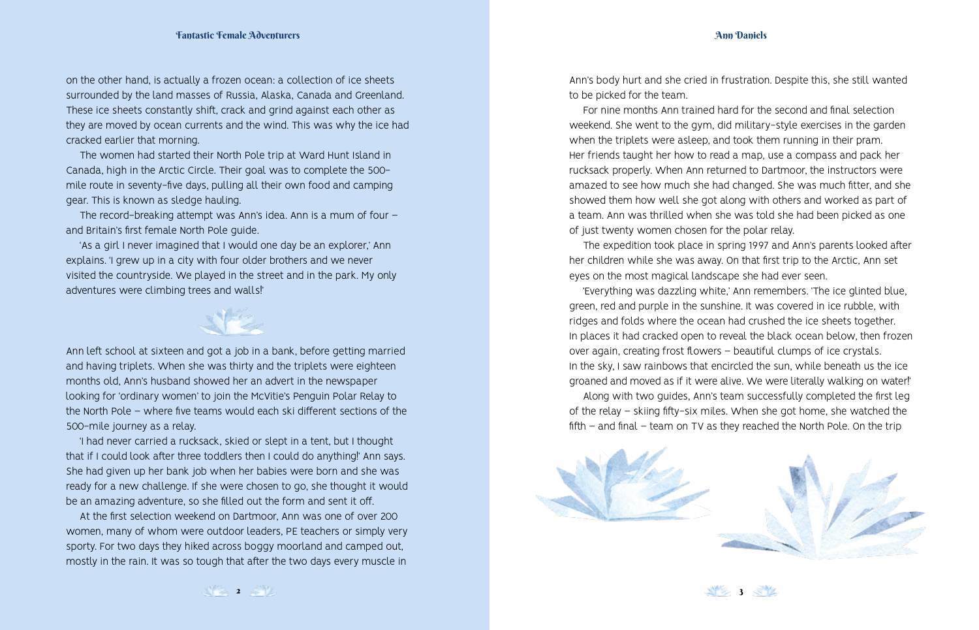on the other hand, is actually a frozen ocean: a collection of ice sheets surrounded by the land masses of Russia, Alaska, Canada and Greenland. These ice sheets constantly shift, crack and grind against each other as they are moved by ocean currents and the wind. This was why the ice had cracked earlier that morning.

The women had started their North Pole trip at Ward Hunt Island in Canada, high in the Arctic Circle. Their goal was to complete the 500 mile route in seventy-five days, pulling all their own food and camping gear. This is known as sledge hauling.

The record-breaking attempt was Ann's idea. Ann is a mum of four – and Britain's first female North Pole guide.

'As a girl I never imagined that I would one day be an explorer,' Ann explains. 'I grew up in a city with four older brothers and we never visited the countryside. We played in the street and in the park. My only adventures were climbing trees and walls!'

Ann left school at sixteen and got a job in a bank, before getting married and having triplets. When she was thirty and the triplets were eighteen months old, Ann's husband showed her an advert in the newspaper looking for 'ordinary women' to join the McVitie's Penguin Polar Relay to the North Pole – where five teams would each ski different sections of the 500-mile journey as a relay.

'I had never carried a rucksack, skied or slept in a tent, but I thought that if I could look after three toddlers then I could do anything!' Ann says. She had given up her bank job when her babies were born and she was ready for a new challenge. If she were chosen to go, she thought it would be an amazing adventure, so she filled out the form and sent it off.

At the first selection weekend on Dartmoor, Ann was one of over 200 women, many of whom were outdoor leaders, PE teachers or simply very sporty. For two days they hiked across boggy moorland and camped out, mostly in the rain. It was so tough that after the two days every muscle in

Ann's body hurt and she cried in frustration. Despite this, she still wanted to be picked for the team.

For nine months Ann trained hard for the second and final selection weekend. She went to the gym, did military-style exercises in the garden when the triplets were asleep, and took them running in their pram. Her friends taught her how to read a map, use a compass and pack her rucksack properly. When Ann returned to Dartmoor, the instructors were amazed to see how much she had changed. She was much fitter, and she showed them how well she got along with others and worked as part of a team. Ann was thrilled when she was told she had been picked as one of just twenty women chosen for the polar relay.

The expedition took place in spring 1997 and Ann's parents looked after her children while she was away. On that first trip to the Arctic, Ann set eyes on the most magical landscape she had ever seen.

'Everything was dazzling white,' Ann remembers. 'The ice glinted blue, green, red and purple in the sunshine. It was covered in ice rubble, with ridges and folds where the ocean had crushed the ice sheets together. In places it had cracked open to reveal the black ocean below, then frozen over again, creating frost flowers – beautiful clumps of ice crystals. In the sky, I saw rainbows that encircled the sun, while beneath us the ice groaned and moved as if it were alive. We were literally walking on water!'

Along with two guides, Ann's team successfully completed the first leg of the relay – skiing fifty-six miles. When she got home, she watched the fifth – and final – team on TV as they reached the North Pole. On the trip



 $3<sup>2</sup>$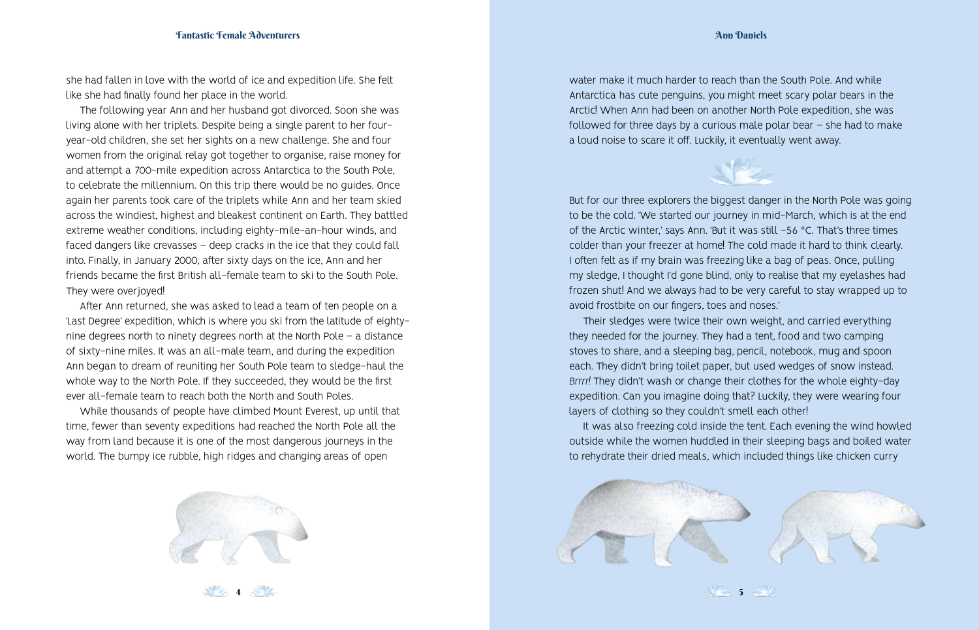## Ann Daniels

she had fallen in love with the world of ice and expedition life. She felt like she had finally found her place in the world.

The following year Ann and her husband got divorced. Soon she was living alone with her triplets. Despite being a single parent to her fouryear-old children, she set her sights on a new challenge. She and four women from the original relay got together to organise, raise money for and attempt a 700-mile expedition across Antarctica to the South Pole, to celebrate the millennium. On this trip there would be no guides. Once again her parents took care of the triplets while Ann and her team skied across the windiest, highest and bleakest continent on Earth. They battled extreme weather conditions, including eighty-mile-an-hour winds, and faced dangers like crevasses – deep cracks in the ice that they could fall into. Finally, in January 2000, after sixty days on the ice, Ann and her friends became the first British all-female team to ski to the South Pole. They were overjoyed!

After Ann returned, she was asked to lead a team of ten people on a 'Last Degree' expedition, which is where you ski from the latitude of eightynine degrees north to ninety degrees north at the North Pole – a distance of sixty-nine miles. It was an all-male team, and during the expedition Ann began to dream of reuniting her South Pole team to sledge-haul the whole way to the North Pole. If they succeeded, they would be the first ever all-female team to reach both the North and South Poles.

While thousands of people have climbed Mount Everest, up until that time, fewer than seventy expeditions had reached the North Pole all the way from land because it is one of the most dangerous journeys in the world. The bumpy ice rubble, high ridges and changing areas of open



**12.** 4. 4

water make it much harder to reach than the South Pole. And while Antarctica has cute penguins, you might meet scary polar bears in the Arctic! When Ann had been on another North Pole expedition, she was followed for three days by a curious male polar bear – she had to make a loud noise to scare it off. Luckily, it eventually went away.



But for our three explorers the biggest danger in the North Pole was going to be the cold. 'We started our journey in mid-March, which is at the end of the Arctic winter,' says Ann. 'But it was still −56 °C. That's three times colder than your freezer at home! The cold made it hard to think clearly. I often felt as if my brain was freezing like a bag of peas. Once, pulling my sledge, I thought I'd gone blind, only to realise that my eyelashes had frozen shut! And we always had to be very careful to stay wrapped up to avoid frostbite on our fingers, toes and noses.'

Their sledges were twice their own weight, and carried everything they needed for the journey. They had a tent, food and two camping stoves to share, and a sleeping bag, pencil, notebook, mug and spoon each. They didn't bring toilet paper, but used wedges of snow instead. *Brrrr!* They didn't wash or change their clothes for the whole eighty-day expedition. Can you imagine doing that? Luckily, they were wearing four layers of clothing so they couldn't smell each other!

It was also freezing cold inside the tent. Each evening the wind howled outside while the women huddled in their sleeping bags and boiled water to rehydrate their dried meals, which included things like chicken curry



5 5 ST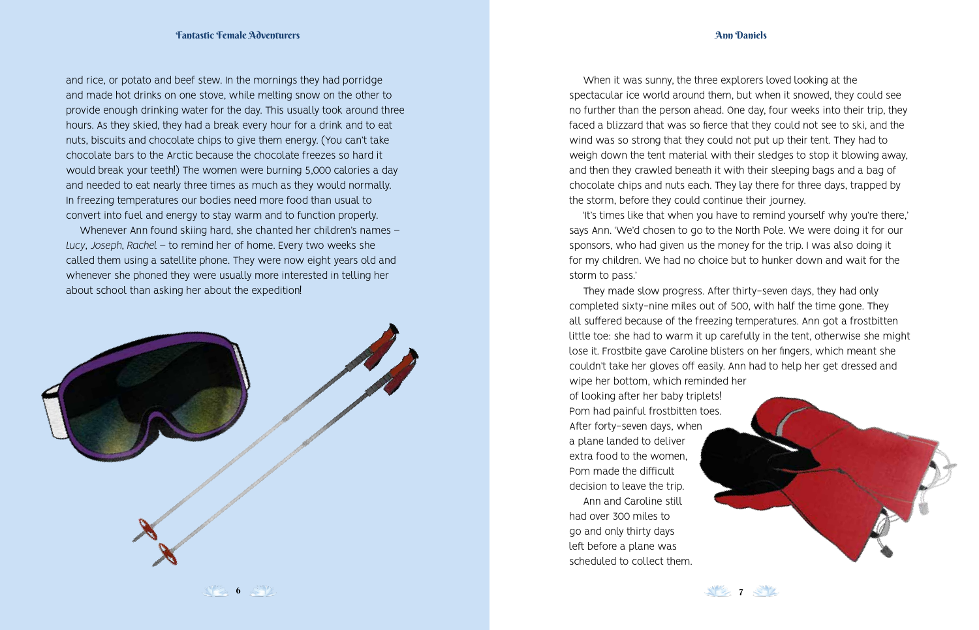## Ann Daniels

and rice, or potato and beef stew. In the mornings they had porridge and made hot drinks on one stove, while melting snow on the other to provide enough drinking water for the day. This usually took around three hours. As they skied, they had a break every hour for a drink and to eat nuts, biscuits and chocolate chips to give them energy. (You can't take chocolate bars to the Arctic because the chocolate freezes so hard it would break your teeth!) The women were burning 5,000 calories a day and needed to eat nearly three times as much as they would normally. In freezing temperatures our bodies need more food than usual to convert into fuel and energy to stay warm and to function properly.

Whenever Ann found skiing hard, she chanted her children's names – *Lucy*, *Joseph*, *Rachel* – to remind her of home. Every two weeks she called them using a satellite phone. They were now eight years old and whenever she phoned they were usually more interested in telling her about school than asking her about the expedition!



When it was sunny, the three explorers loved looking at the spectacular ice world around them, but when it snowed, they could see no further than the person ahead. One day, four weeks into their trip, they faced a blizzard that was so fierce that they could not see to ski, and the wind was so strong that they could not put up their tent. They had to weigh down the tent material with their sledges to stop it blowing away, and then they crawled beneath it with their sleeping bags and a bag of chocolate chips and nuts each. They lay there for three days, trapped by the storm, before they could continue their journey.

'It's times like that when you have to remind yourself why you're there,' says Ann. 'We'd chosen to go to the North Pole. We were doing it for our sponsors, who had given us the money for the trip. I was also doing it for my children. We had no choice but to hunker down and wait for the storm to pass.'

They made slow progress. After thirty-seven days, they had only completed sixty-nine miles out of 500, with half the time gone. They all suffered because of the freezing temperatures. Ann got a frostbitten little toe: she had to warm it up carefully in the tent, otherwise she might lose it. Frostbite gave Caroline blisters on her fingers, which meant she couldn't take her gloves off easily. Ann had to help her get dressed and wipe her bottom, which reminded her

XP2 7 2 V

of looking after her baby triplets! Pom had painful frostbitten toes. After forty-seven days, when a plane landed to deliver extra food to the women, Pom made the difficult decision to leave the trip. Ann and Caroline still had over 300 miles to go and only thirty days left before a plane was scheduled to collect them.